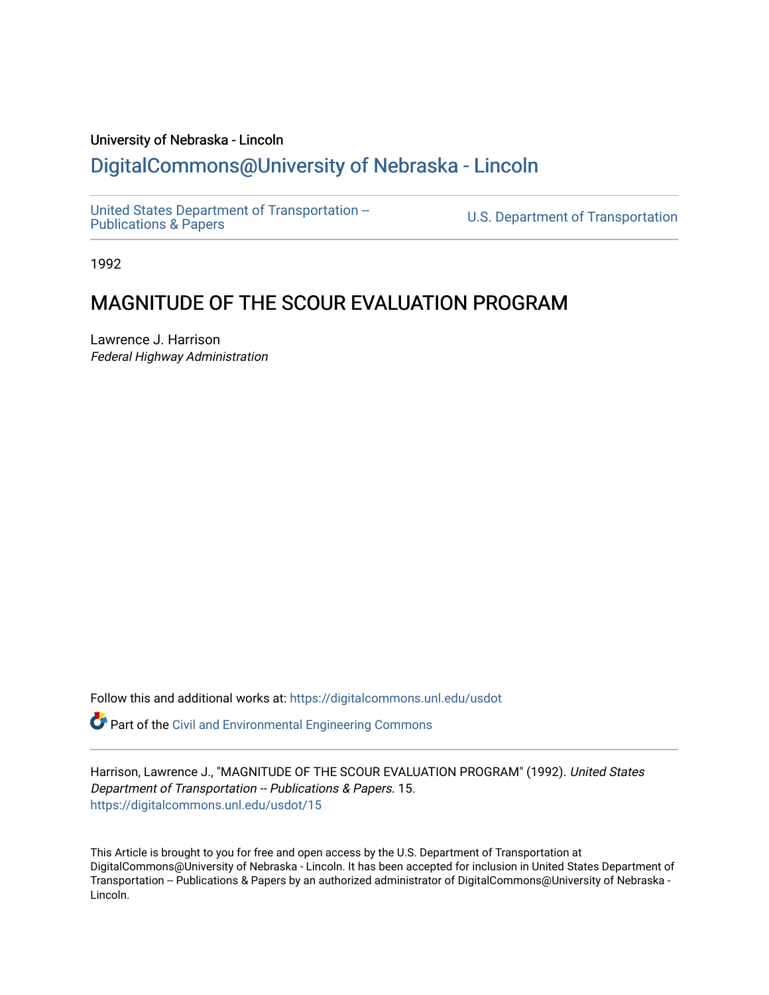## University of Nebraska - Lincoln [DigitalCommons@University of Nebraska - Lincoln](https://digitalcommons.unl.edu/)

[United States Department of Transportation --](https://digitalcommons.unl.edu/usdot)<br>Publications & Papers

U.S. Department of Transportation

1992

# MAGNITUDE OF THE SCOUR EVALUATION PROGRAM

Lawrence J. Harrison Federal Highway Administration

Follow this and additional works at: [https://digitalcommons.unl.edu/usdot](https://digitalcommons.unl.edu/usdot?utm_source=digitalcommons.unl.edu%2Fusdot%2F15&utm_medium=PDF&utm_campaign=PDFCoverPages) 

Part of the [Civil and Environmental Engineering Commons](http://network.bepress.com/hgg/discipline/251?utm_source=digitalcommons.unl.edu%2Fusdot%2F15&utm_medium=PDF&utm_campaign=PDFCoverPages)

Harrison, Lawrence J., "MAGNITUDE OF THE SCOUR EVALUATION PROGRAM" (1992). United States Department of Transportation -- Publications & Papers. 15. [https://digitalcommons.unl.edu/usdot/15](https://digitalcommons.unl.edu/usdot/15?utm_source=digitalcommons.unl.edu%2Fusdot%2F15&utm_medium=PDF&utm_campaign=PDFCoverPages)

This Article is brought to you for free and open access by the U.S. Department of Transportation at DigitalCommons@University of Nebraska - Lincoln. It has been accepted for inclusion in United States Department of Transportation -- Publications & Papers by an authorized administrator of DigitalCommons@University of Nebraska - Lincoln.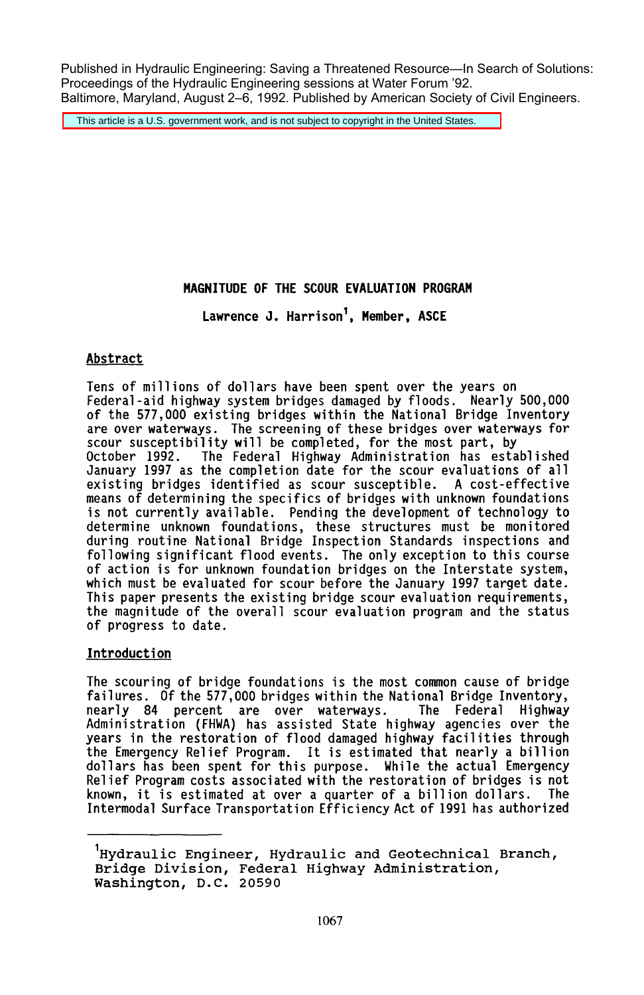Published in Hydraulic Engineering: Saving a Threatened Resource—In Search of Solutions: Proceedings of the Hydraulic Engineering sessions at Water Forum '92. Baltimore, Maryland, August 2–6, 1992. Published by American Society of Civil Engineers.

This article is a U.S. government work, and is not subject to copyright in the United States.

## MAGNITUDE OF THE SCOUR EVALUATION PROGRAM

Lawrence J. Harrison', Member, ASCE

## Abstract

Tens of millions of dollars have been spent over the years on Federal-aid highway system bridges damaged by floods. Nearly 500,000 of the 577,000 existing bridges within the National Bridge Inventory are over waterways. The screening of these bridges over waterways for<br>scour susceptibility will be completed, for the most part, by scour susceptibility will be completed, for the most part, by<br>October 1992. The Federal Highway Administration has established January 1997 as the completion date for the scour evaluations of all existing bridges identified as scour susceptible. A cost-effective means of determining the specifics of bridges with unknown foundations is not currently available. Pending the development of technology to determine unknown foundations, these structures must be monitored during routine National Bridge Inspection Standards inspections and following significant flood events. The only exception to this course<br>of action is for unknown foundation bridges on the Interstate system, which must be evaluated for scour before the January 1997 target date.<br>This paper presents the existing bridge scour evaluation requirements, the magnitude of the overall scour evaluation program and the status of progress to date.

## Introduction

The scouring of bridge foundations is the most common cause of bridge<br>failures. Of the 577,000 bridges within the National Bridge Inventory, nearly 84 percent are over waterways. The Federal Highway<br>Administration (FHWA) has assisted State highway agencies over the years in the restoration of flood damaged highway facilities through the Emergency Relief Program. It is estimated that nearly a billion dollars has been spent for this purpose. While the actual Emergency Relief Program costs associated with the restoration of bridges is not known, it is estimated at over a quarter of a billion dollars. The Intermodal Surface Transportation Efficiency Act of 1991 has authorized

<sup>&#</sup>x27;Hydraulic Engineer, Hydraulic and Geotechnical Branch, Bridge Division, Federal Highway Administration, Washington, D.C. 20590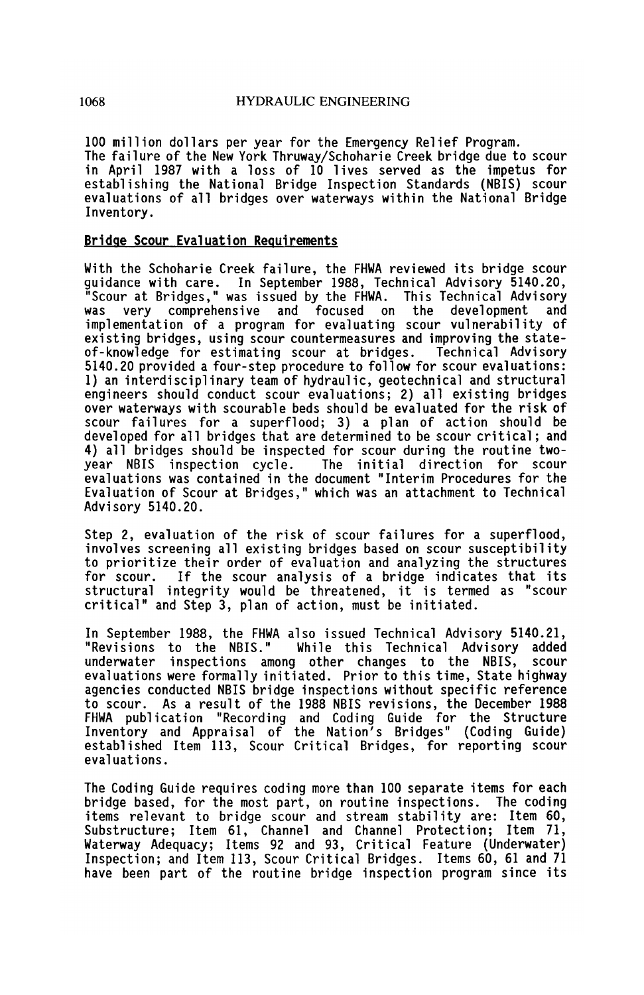100 million dollars per year for the Emergency Relief Program. The failure of the New York Thruway/Schoharie Creek bridge due to scour in April 1987 with a loss of 10 lives served as the impetus for establishing the National Bridge Inspection Standards (NBIS) scour evaluations of all bridges over waterways within the National Bridge Inventory.

#### Bridge Scour Evaluation Requirements

With the Schoharie Creek failure, the FHWA reviewed its bridge scour guidance with care. In September 1988, Technical Advisory 5140.20, "Scour at Bridges," was issued by the FHWA. This Technical Advisory comprehensive and implementation of a program for evaluating scour vulnerability of existing bridges, using scour countermeasures and improving the state-<br>of-knowledge for estimating scour at bridges. Technical Advisory 5140.20 provided a four-step procedure to follow for scour evaluations: 1) an interdisciplinary team of hydraulic, geotechnical and structural engineers should conduct scour evaluations; 2) all existing bridges over waterways with scourable beds should be evaluated for the risk of scour failures for a superflood; 3) a plan of action should be developed for all bridges that are determined to be scour critical; and 4) all bridges should be inspected for scour during the routine twoyear NBIS inspection cycle. evaluations was contained in the document "Interim Procedures for the Evaluation of Scour at Bridges," which was an attachment to Technical Advisory 5140.20.

Step 2, evaluation of the risk of scour failures for a superflood, involves screening all existing bridges based on scour susceptibility to prioritize their order of evaluation and analyzing the structures If the scour analysis of a bridge indicates that its structural integrity would be threatened, it is termed as "scour critical" and Step 3, plan of action, must be initiated.

In September 1988, the FHWA also issued Technical Advisory 5140.21, While this Technical Advisory added<br>Gother changes to the NBIS, scour underwater inspections among other changes to the NBIS, evaluations were formally initiated. Prior to this time, State highway agencies conducted NBIS bridge inspections without specific reference to scour. As a result of the 1988 NBIS revisions, the December 1988 FHWA publication "Recording and Coding Guide for the Structure Inventory and Appraisal of the Nation's Bridges" (Coding Guide) established Item 113, Scour Critical Bridges, for reporting scour evaluations.

The Coding Guide requires coding more than 100 separate items for each bridge based, for the most part, on routine inspections. The coding items relevant to bridge scour and stream stability are: Item 60, Substructure; Item 61, Channel and Channel Protection; Item 71, Waterway Adequacy; Items 92 and 93, Critical Feature (Underwater) Inspection; and Item 113, Scour Critical Bridges. Items 60, 61 and 71 have been part of the routine bridge inspection program since its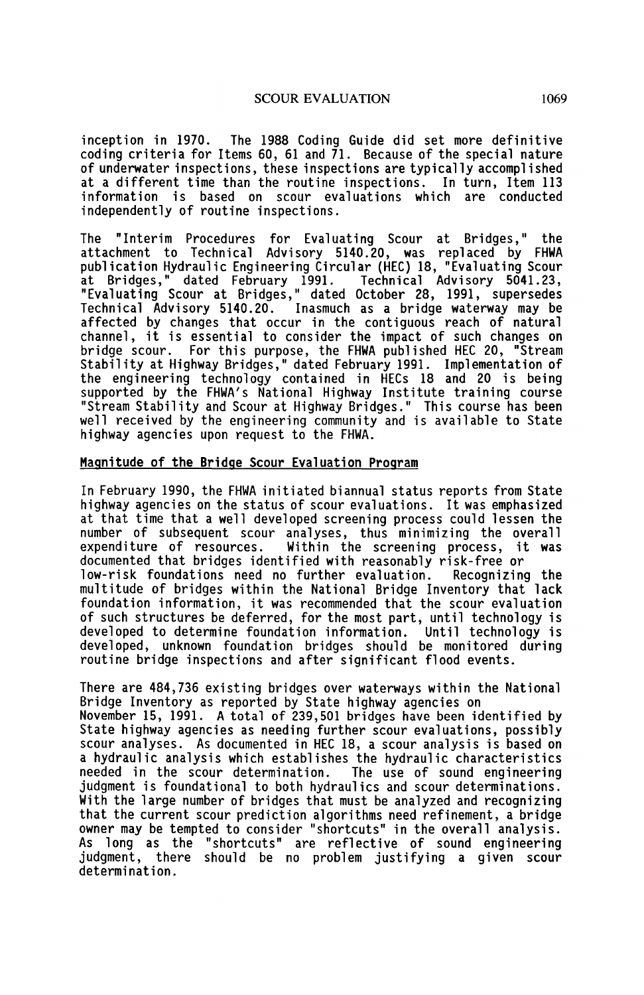inception in 1970. The 1988 Coding Guide did set more definitive coding criteria for Items 60, 61 and  $\overline{1}1$ . Because of the special nature of underwater inspections, these inspections are typically accomplished at a different time than the routine inspections. In turn, Item 113 information is based on scour evaluations which are conducted independently of routine inspections.

The "Interim Procedures for Evaluating Scour at Bridges," the attachment to Technical Advisory 5140.20, was replaced by FHWA publication Hydraulic Engineering Circular (HEC) 18, "Evaluating Scour at Bridges," dated February 1991. Technical Advisory 5041.23, "Evaluating Scour at Bridges," dated October 28, 1991, supersedes Technical Advisory 5140.20. Inasmuch as a bridge waterway may be affected by changes that occur in the contiguous reach of natural channel, it is essential to consider the impact of such changes on bridge scour. For this purpose, the FHWA published HEC 20, "Stream Stabil ity at Highway Bridges," dated February 1991. Implementation of the engineering technology contained in HECs 18 and 20 is being supported by the FHWA's National Highway Institute training course "Stream Stability and Scour at Highway Bridges." This course has been well received by the engineering community and is available to State highway agencies upon request to the FHWA.

#### Magnitude of the Bridge Scour Evaluation Program

In February 1990, the FHWA initiated biannual status reports from State highway agencies on the status of scour evaluations. It was emphasized at that time that a well developed screening process could lessen the number of subsequent scour analyses, thus minimizing the overall Within the screening process, it was documented that bridges identified with reasonably risk-free or low-risk foundations need no further evaluation. multitude of bridges within the National Bridge Inventory that lack foundation information, it was recommended that the scour evaluation of such structures be deferred, for the most part, until technology is<br>developed to determine foundation information. Until technology is developed to determine foundation information. developed, unknown foundation bridges should be monitored during routine bridge inspections and after significant flood events.

There are 484,736 existing bridges over waterways within the National Bridge Inventory as reported by State highway agencies on November 15, 1991. A total of 239,501 bridges have been identified by State highway agencies as needing further scour evaluations, possibly scour analyses. As documented in HEC 18, a scour analysis is based on a hydraulic analysis which establishes the hydraulic characteristics<br>needed in the scour determination. The use of sound engineering needed in the scour determination. judgment is foundational to both hydraulics and scour determinations. With the large number of bridges that must be analyzed and recognizing that the current scour prediction algorithms need refinement, a bridge owner may be tempted to consider "shortcuts" in the overall analysis. As long as the "shortcuts" are reflective of sound engineering judgment, there should be no problem justifying a given scour determination.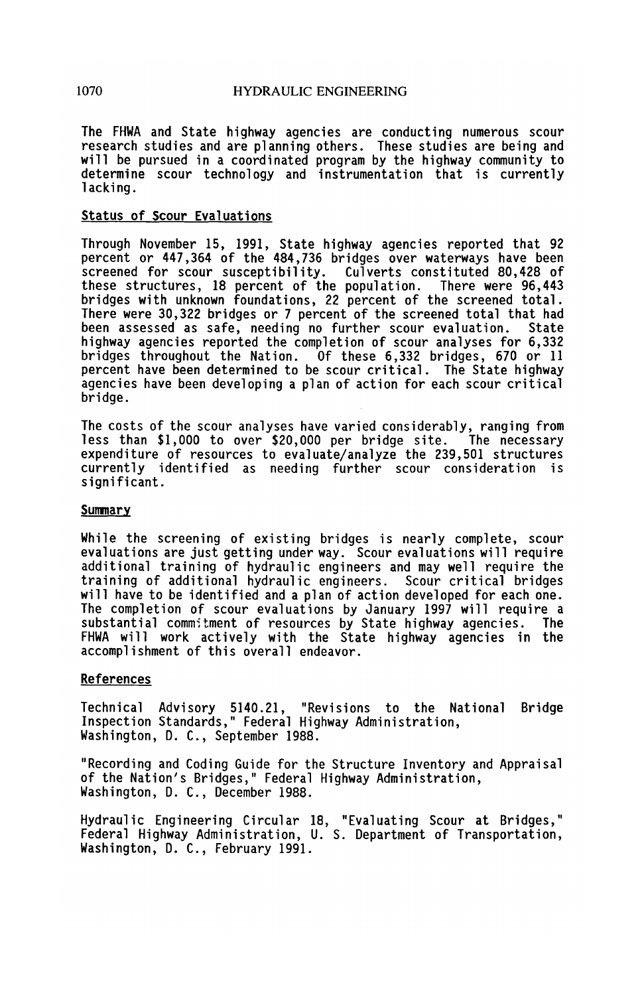The FHWA and State highway agencies are conducting numerous scour research studies and are planning others. These studies are being and will be pursued in a coordinated program by the highway community to determine scour technology and instrumentation that is currently lacking.

#### Status of Scour Evaluations

Through November 15, 1991, State highway agencies reported that 92 percent or 447,364 of the 484,736 bridges over waterways have been screened for scour susceptibility. Culverts constituted 80,428 of<br>these structures, 18 percent of the population. There were 96.443 these structures, 18 percent of the population. bridges with unknown foundations, 22 percent of the screened total. There were 30,322 bridges or 7 percent of the screened total that had been assessed as safe, needing no further scour evaluation. highway agencies reported the completion of scour analyses for 6,332 bridges throughout the Nation. Of these 6,332 bridges, 670 or 11 agencies have been developing a plan of action for each scour critical bridge.

The costs of the scour analyses have varied considerably, ranging from expenditure of resources to evaluate/analyze the 239,501 structures currently identified as needing further scour consideration is significant.

#### Summary

While the screening of existing bridges is nearly complete, scour evaluations are just getting under way. Scour evaluations will require additional training of hydraulic engineers and may well require the training of additional hydraulic engineers. Scour critical bridges will have to be identified and a plan of action developed for each one. The completion of scour evaluations by January 1997 will require a substantial commitment of resources by State highway agencies. The FHWA will work actively with the State highway agencies in the accomplishment of this overall endeavor.

## References

Technical Advisory 5140.21, "Revisions to the National Bridge Inspection Standards," Federal Highway Administration, Washington, D. C., September 1988.

"Recording and Coding Guide for the Structure Inventory and Appraisal of the Nation's Bridges," Federal Highway Administration, Washington, D. C., December 1988.

Hydraulic Engineering Circular 18, "Evaluating Scour at Bridges," Federal Highway Administration, U. S. Department of Transportation, Washington, D. C., February 1991.